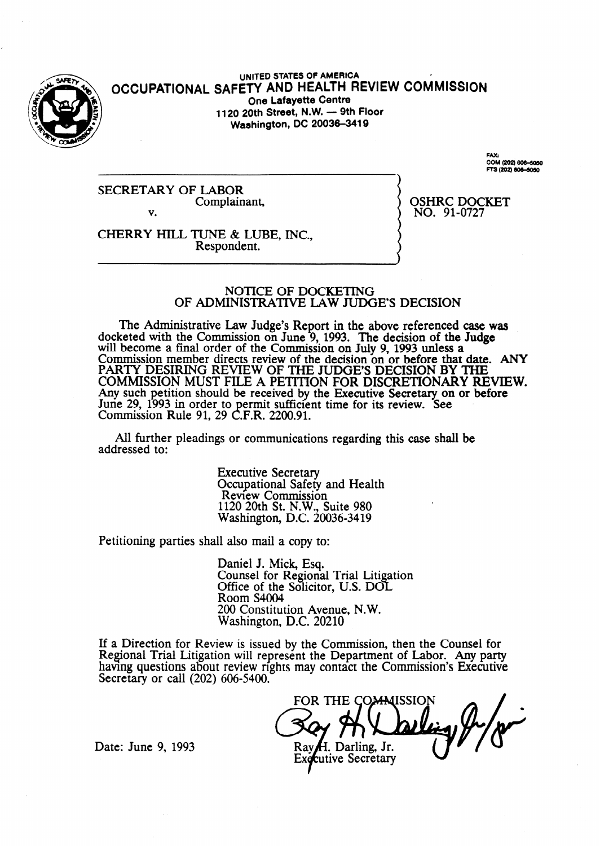

**UNITED STATES OF AMERICA OCCUPATIONAL SAFETY AND HEALTH REVIEW COMMISSION One Lafayette Centre 1120 20th Street, N.W. - 9th Floor Washington, DC 20036-3419** 

> FAX:<br>COM (202) 606-5050 SW (202) 606-6050

**SECRETARY OF LABOR**  Complainant, v.

OSHRC DOCKET NO. 91-0727

CHERRY **HILL TUNE & LUBE, INC.,**  Respondent.

#### NOTICE OF DOCKETING OF ADMINISTRATIVE L4W JUDGE'S DECISION

The Administrative Law Judge's Report in the above referenced case was docketed with the Commission on June 9, 1993. The decision of the Judge will become a final order of the Commission on July 9, 1993 unless a Commission member directs review of the decision on or before that date. ANY PARTY DESIRING REVIEW OF THE JUDGE'S DECISION BY THE COMMISSION MUST FILE A PETITION FOR DISCRETIONARY REVIEW. Any such petition should be received by the Executive Secretary **on** or before June 29, 1993 in order to permit sufficient time for its review. **See**  Commission Rule 91, 29 **C.F.R.** 2200.91.

All further pleadings or communications regarding this case shall be addressed to:

> Executive Secretary Occupational Safety and Health Review Commission 1120 20th St. N.W., Suite 980 Washington, D.C. 20036-3419

Petitioning parties shall also mail a copy to:

Daniel J. Mick, Esq. Counsel for Regional Trial Litigation Office of the Solicitor, U.S. DOL Room S4004 200 Constitution Avenue, N.W. Washington, D.C. 20210

If a Direction for Review is issued by the Commission, then the Counsel for Regional Trial Litigation will represent the Department of Labor. Any party having questions about review rights may contact the Commission's Executive Secretary or call (202) 606-5400.

FOR THE COMMISSION

H. Darling, Jr. cutive Secretary

Date: June 9, 1993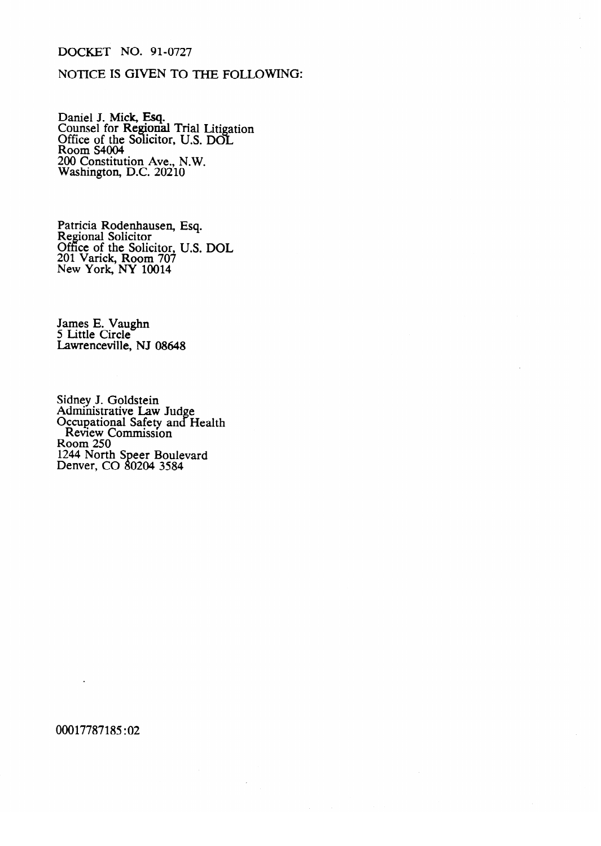# DOCKET NO. 91-0727

## NOTICE IS GIVEN TO THE FOLLOWING:

Daniel J. Mick, Esq.<br>Counsel for Regiona Counsel for **Regional Trial Little**<br>Office of the Solicitor, U.S. DC  $\ddot{\phantom{0}}$ ation<br>I Since of the Sonction, U.S. DOL.<br>Room S4004 200 Constitut Washington, D.C.  $20210$  $M = 20210$ 

Regional Solicitor Office of the Soli  $201$  Varick, Room  $707$ New York, NY 10014

James E. Vaughn<br>5 Little Circle Lawrenceville, NJ 08648

Sidney Law<br>Occupational Safet **Review Commission** Room 250 244 North Speer Bo Denver, Co 1244 North S eer Boulevard

00017787185:02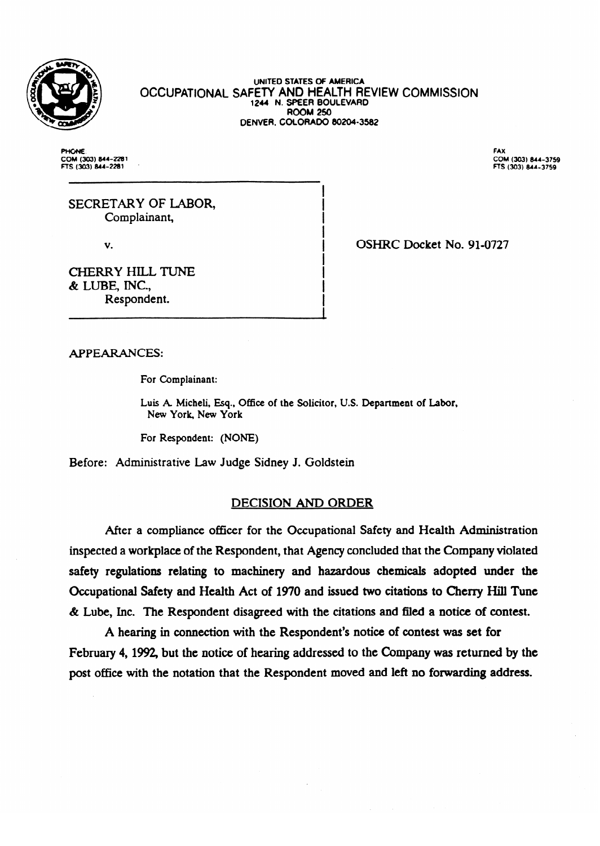

#### **OCCUPATIONAL UNITED STATES OF AMERICA SAFETT AND HEALTH REVIEW COMINISSIO 1244 N. SPEER BOULEVARD**<br>ROOM 250  $R$ **DENVER. COLORADO 802043502**

**PHONE** COM (303) 844-221<br>FTS (303) 844-228 FAX COM FTS (303) 844-3759

SECRETARY OF LABOR,<br>Complainant, Complainant,

V.

OSHRC Docket No. 91-0727

**CHERRY HILL TUNE** & LUBE, INC., Respondent.

Respondent.

**APPEARANCES:** 

Luis A. Micheli, Esq., Office of the Solicitor, U.S. Department of Labor, New York, New York

For Respondent: (NONE)

Before: Administrative Law Judge Sidney J. Goldstein

### **DECISION AND ORDER**

After a compliance officer for the Occupational Safety and Health Administration inspected a workplace of the Respondent, that Agency concluded that the Company violated safety regulations relating to machinery and hazardous chemicals adopted under the Occupational Safety and Health Act of 1970 and issued two citations to Cherry Hill Tune  $\&$  Lube, Inc. The Respondent disagreed with the citations and filed a notice of contest.

A hearing in connection with the Respondent's notice of contest was set for February 4, 1992, but the notice of hearing addressed to the Company was returned by the post office with the notation that the Respondent moved and left no forwarding address.

post office with the notation that the Respondent moved and left no forwarding address.